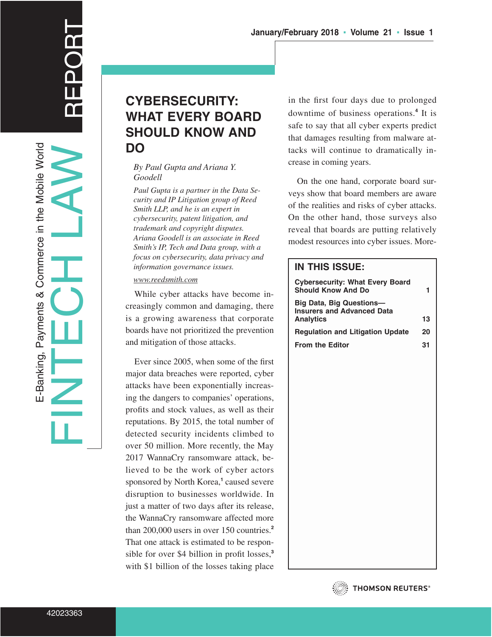**CYBERSECURITY: WHAT EVERY BOARD SHOULD KNOW AND DO**

#### *By Paul Gupta and Ariana Y. Goodell*

*Paul Gupta is a partner in the Data Security and IP Litigation group of Reed Smith LLP, and he is an expert in cybersecurity, patent litigation, and trademark and copyright disputes. Ariana Goodell is an associate in Reed Smith's IP, Tech and Data group, with a focus on cybersecurity, data privacy and information governance issues.*

*www.reedsmith.com*

While cyber attacks have become increasingly common and damaging, there is a growing awareness that corporate boards have not prioritized the prevention and mitigation of those attacks.

Ever since 2005, when some of the first major data breaches were reported, cyber attacks have been exponentially increasing the dangers to companies' operations, profits and stock values, as well as their reputations. By 2015, the total number of detected security incidents climbed to over 50 million. More recently, the May 2017 WannaCry ransomware attack, believed to be the work of cyber actors sponsored by North Korea,**<sup>1</sup>** caused severe disruption to businesses worldwide. In just a matter of two days after its release, the WannaCry ransomware affected more than 200,000 users in over 150 countries.**<sup>2</sup>** That one attack is estimated to be responsible for over \$4 billion in profit losses,**<sup>3</sup>** with \$1 billion of the losses taking place

in the first four days due to prolonged downtime of business operations.**<sup>4</sup>** It is safe to say that all cyber experts predict that damages resulting from malware attacks will continue to dramatically increase in coming years.

**January/February 2018 ▪ Volume 21 ▪ Issue 1**

On the one hand, corporate board surveys show that board members are aware of the realities and risks of cyber attacks. On the other hand, those surveys also reveal that boards are putting relatively modest resources into cyber issues. More-

### **IN THIS ISSUE:**

| 13 |
|----|
| 20 |
| 31 |
|    |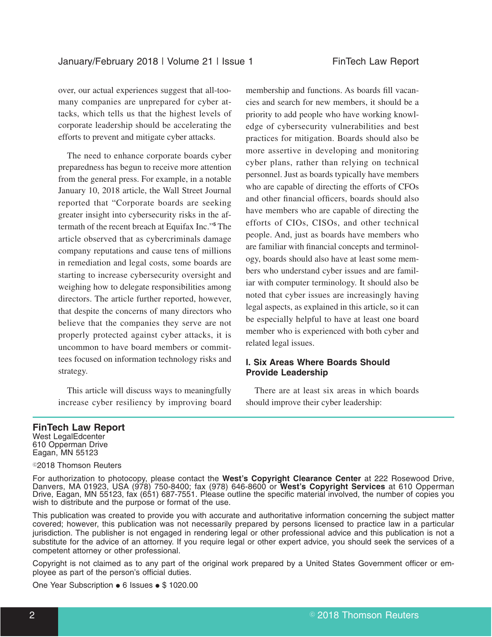over, our actual experiences suggest that all-toomany companies are unprepared for cyber attacks, which tells us that the highest levels of corporate leadership should be accelerating the efforts to prevent and mitigate cyber attacks.

The need to enhance corporate boards cyber preparedness has begun to receive more attention from the general press. For example, in a notable January 10, 2018 article, the Wall Street Journal reported that "Corporate boards are seeking greater insight into cybersecurity risks in the aftermath of the recent breach at Equifax Inc."**<sup>5</sup>** The article observed that as cybercriminals damage company reputations and cause tens of millions in remediation and legal costs, some boards are starting to increase cybersecurity oversight and weighing how to delegate responsibilities among directors. The article further reported, however, that despite the concerns of many directors who believe that the companies they serve are not properly protected against cyber attacks, it is uncommon to have board members or committees focused on information technology risks and strategy.

This article will discuss ways to meaningfully increase cyber resiliency by improving board membership and functions. As boards fill vacancies and search for new members, it should be a priority to add people who have working knowledge of cybersecurity vulnerabilities and best practices for mitigation. Boards should also be more assertive in developing and monitoring cyber plans, rather than relying on technical personnel. Just as boards typically have members who are capable of directing the efforts of CFOs and other financial officers, boards should also have members who are capable of directing the efforts of CIOs, CISOs, and other technical people. And, just as boards have members who are familiar with financial concepts and terminology, boards should also have at least some members who understand cyber issues and are familiar with computer terminology. It should also be noted that cyber issues are increasingly having legal aspects, as explained in this article, so it can be especially helpful to have at least one board member who is experienced with both cyber and related legal issues.

### **I. Six Areas Where Boards Should Provide Leadership**

There are at least six areas in which boards should improve their cyber leadership:

#### **FinTech Law Report**

West LegalEdcenter 610 Opperman Drive Eagan, MN 55123

<sup>©</sup>2018 Thomson Reuters

For authorization to photocopy, please contact the **West's Copyright Clearance Center** at 222 Rosewood Drive, Danvers, MA 01923, USA (978) 750-8400; fax (978) 646-8600 or **West's Copyright Services** at 610 Opperman Drive, Eagan, MN 55123, fax (651) 687-7551. Please outline the specific material involved, the number of copies you wish to distribute and the purpose or format of the use.

This publication was created to provide you with accurate and authoritative information concerning the subject matter covered; however, this publication was not necessarily prepared by persons licensed to practice law in a particular jurisdiction. The publisher is not engaged in rendering legal or other professional advice and this publication is not a substitute for the advice of an attorney. If you require legal or other expert advice, you should seek the services of a competent attorney or other professional.

Copyright is not claimed as to any part of the original work prepared by a United States Government officer or employee as part of the person's official duties.

One Year Subscription  $\bullet$  6 Issues  $\bullet$  \$ 1020.00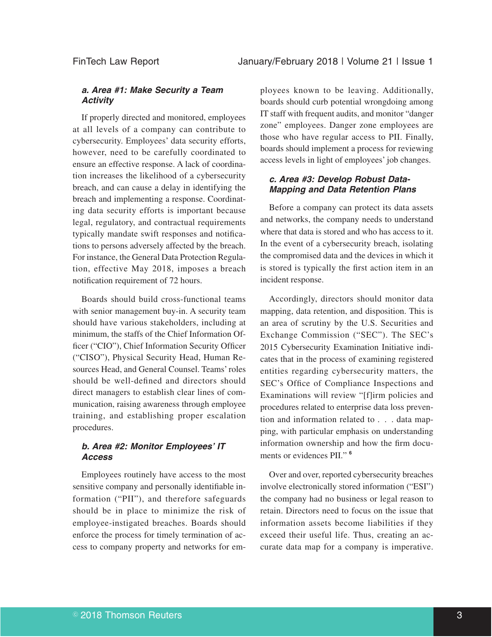### *a. Area #1: Make Security a Team Activity*

If properly directed and monitored, employees at all levels of a company can contribute to cybersecurity. Employees' data security efforts, however, need to be carefully coordinated to ensure an effective response. A lack of coordination increases the likelihood of a cybersecurity breach, and can cause a delay in identifying the breach and implementing a response. Coordinating data security efforts is important because legal, regulatory, and contractual requirements typically mandate swift responses and notifications to persons adversely affected by the breach. For instance, the General Data Protection Regulation, effective May 2018, imposes a breach notification requirement of 72 hours.

Boards should build cross-functional teams with senior management buy-in. A security team should have various stakeholders, including at minimum, the staffs of the Chief Information Officer ("CIO"), Chief Information Security Officer ("CISO"), Physical Security Head, Human Resources Head, and General Counsel. Teams' roles should be well-defined and directors should direct managers to establish clear lines of communication, raising awareness through employee training, and establishing proper escalation procedures.

### *b. Area #2: Monitor Employees' IT Access*

Employees routinely have access to the most sensitive company and personally identifiable information ("PII"), and therefore safeguards should be in place to minimize the risk of employee-instigated breaches. Boards should enforce the process for timely termination of access to company property and networks for em-

ployees known to be leaving. Additionally, boards should curb potential wrongdoing among IT staff with frequent audits, and monitor "danger zone" employees. Danger zone employees are those who have regular access to PII. Finally, boards should implement a process for reviewing access levels in light of employees' job changes.

### *c. Area #3: Develop Robust Data-Mapping and Data Retention Plans*

Before a company can protect its data assets and networks, the company needs to understand where that data is stored and who has access to it. In the event of a cybersecurity breach, isolating the compromised data and the devices in which it is stored is typically the first action item in an incident response.

Accordingly, directors should monitor data mapping, data retention, and disposition. This is an area of scrutiny by the U.S. Securities and Exchange Commission ("SEC"). The SEC's 2015 Cybersecurity Examination Initiative indicates that in the process of examining registered entities regarding cybersecurity matters, the SEC's Office of Compliance Inspections and Examinations will review "[f]irm policies and procedures related to enterprise data loss prevention and information related to . . . data mapping, with particular emphasis on understanding information ownership and how the firm documents or evidences PII." **<sup>6</sup>**

Over and over, reported cybersecurity breaches involve electronically stored information ("ESI") the company had no business or legal reason to retain. Directors need to focus on the issue that information assets become liabilities if they exceed their useful life. Thus, creating an accurate data map for a company is imperative.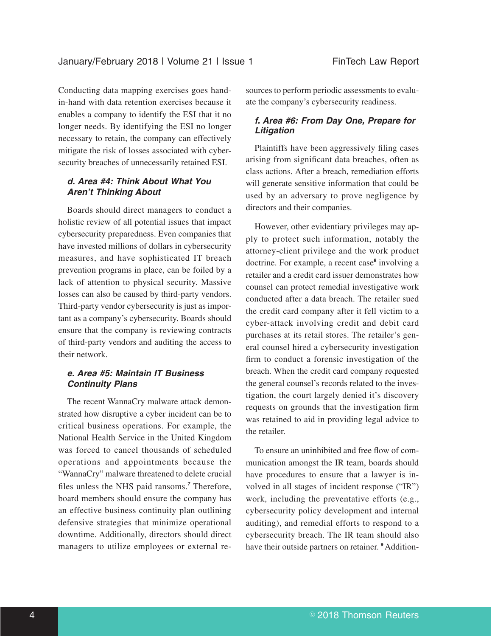Conducting data mapping exercises goes handin-hand with data retention exercises because it enables a company to identify the ESI that it no longer needs. By identifying the ESI no longer necessary to retain, the company can effectively mitigate the risk of losses associated with cybersecurity breaches of unnecessarily retained ESI.

### *d. Area #4: Think About What You Aren't Thinking About*

Boards should direct managers to conduct a holistic review of all potential issues that impact cybersecurity preparedness. Even companies that have invested millions of dollars in cybersecurity measures, and have sophisticated IT breach prevention programs in place, can be foiled by a lack of attention to physical security. Massive losses can also be caused by third-party vendors. Third-party vendor cybersecurity is just as important as a company's cybersecurity. Boards should ensure that the company is reviewing contracts of third-party vendors and auditing the access to their network.

### *e. Area #5: Maintain IT Business Continuity Plans*

The recent WannaCry malware attack demonstrated how disruptive a cyber incident can be to critical business operations. For example, the National Health Service in the United Kingdom was forced to cancel thousands of scheduled operations and appointments because the "WannaCry" malware threatened to delete crucial files unless the NHS paid ransoms.**<sup>7</sup>** Therefore, board members should ensure the company has an effective business continuity plan outlining defensive strategies that minimize operational downtime. Additionally, directors should direct managers to utilize employees or external resources to perform periodic assessments to evaluate the company's cybersecurity readiness.

### *f. Area #6: From Day One, Prepare for Litigation*

Plaintiffs have been aggressively filing cases arising from significant data breaches, often as class actions. After a breach, remediation efforts will generate sensitive information that could be used by an adversary to prove negligence by directors and their companies.

However, other evidentiary privileges may apply to protect such information, notably the attorney-client privilege and the work product doctrine. For example, a recent case**<sup>8</sup>** involving a retailer and a credit card issuer demonstrates how counsel can protect remedial investigative work conducted after a data breach. The retailer sued the credit card company after it fell victim to a cyber-attack involving credit and debit card purchases at its retail stores. The retailer's general counsel hired a cybersecurity investigation firm to conduct a forensic investigation of the breach. When the credit card company requested the general counsel's records related to the investigation, the court largely denied it's discovery requests on grounds that the investigation firm was retained to aid in providing legal advice to the retailer.

To ensure an uninhibited and free flow of communication amongst the IR team, boards should have procedures to ensure that a lawyer is involved in all stages of incident response ("IR") work, including the preventative efforts (e.g., cybersecurity policy development and internal auditing), and remedial efforts to respond to a cybersecurity breach. The IR team should also have their outside partners on retainer. **<sup>9</sup>** Addition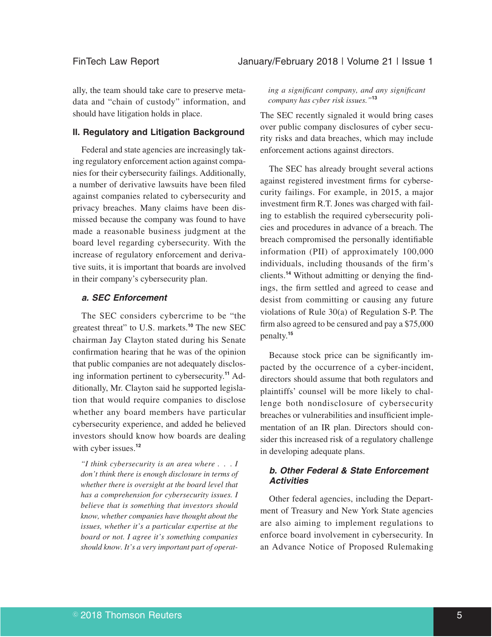ally, the team should take care to preserve metadata and "chain of custody" information, and should have litigation holds in place.

### **II. Regulatory and Litigation Background**

Federal and state agencies are increasingly taking regulatory enforcement action against companies for their cybersecurity failings. Additionally, a number of derivative lawsuits have been filed against companies related to cybersecurity and privacy breaches. Many claims have been dismissed because the company was found to have made a reasonable business judgment at the board level regarding cybersecurity. With the increase of regulatory enforcement and derivative suits, it is important that boards are involved in their company's cybersecurity plan.

### *a. SEC Enforcement*

The SEC considers cybercrime to be "the greatest threat" to U.S. markets.**<sup>10</sup>** The new SEC chairman Jay Clayton stated during his Senate confirmation hearing that he was of the opinion that public companies are not adequately disclosing information pertinent to cybersecurity.**<sup>11</sup>** Additionally, Mr. Clayton said he supported legislation that would require companies to disclose whether any board members have particular cybersecurity experience, and added he believed investors should know how boards are dealing with cyber issues.<sup>12</sup>

*"I think cybersecurity is an area where . . . I don't think there is enough disclosure in terms of whether there is oversight at the board level that has a comprehension for cybersecurity issues. I believe that is something that investors should know, whether companies have thought about the issues, whether it's a particular expertise at the board or not. I agree it's something companies should know. It's a very important part of operat-* *ing a significant company, and any significant company has cyber risk issues."***<sup>13</sup>**

The SEC recently signaled it would bring cases over public company disclosures of cyber security risks and data breaches, which may include enforcement actions against directors.

The SEC has already brought several actions against registered investment firms for cybersecurity failings. For example, in 2015, a major investment firm R.T. Jones was charged with failing to establish the required cybersecurity policies and procedures in advance of a breach. The breach compromised the personally identifiable information (PII) of approximately 100,000 individuals, including thousands of the firm's clients.**<sup>14</sup>** Without admitting or denying the findings, the firm settled and agreed to cease and desist from committing or causing any future violations of Rule 30(a) of Regulation S-P. The firm also agreed to be censured and pay a \$75,000 penalty.**<sup>15</sup>**

Because stock price can be significantly impacted by the occurrence of a cyber-incident, directors should assume that both regulators and plaintiffs' counsel will be more likely to challenge both nondisclosure of cybersecurity breaches or vulnerabilities and insufficient implementation of an IR plan. Directors should consider this increased risk of a regulatory challenge in developing adequate plans.

### *b. Other Federal & State Enforcement Activities*

Other federal agencies, including the Department of Treasury and New York State agencies are also aiming to implement regulations to enforce board involvement in cybersecurity. In an Advance Notice of Proposed Rulemaking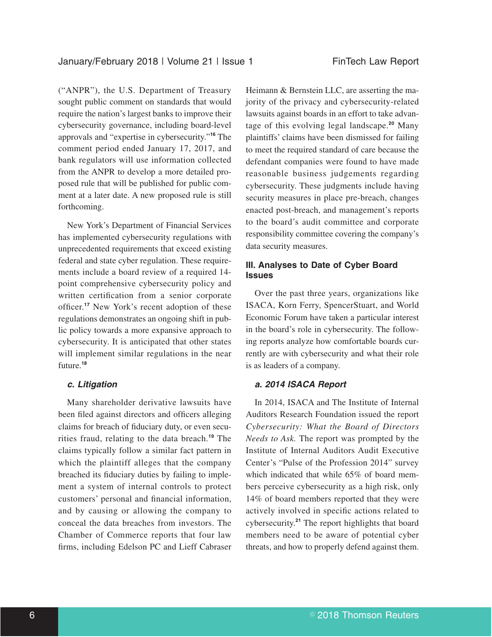("ANPR"), the U.S. Department of Treasury sought public comment on standards that would require the nation's largest banks to improve their cybersecurity governance, including board-level approvals and "expertise in cybersecurity."**<sup>16</sup>** The comment period ended January 17, 2017, and bank regulators will use information collected from the ANPR to develop a more detailed proposed rule that will be published for public comment at a later date. A new proposed rule is still forthcoming.

New York's Department of Financial Services has implemented cybersecurity regulations with unprecedented requirements that exceed existing federal and state cyber regulation. These requirements include a board review of a required 14 point comprehensive cybersecurity policy and written certification from a senior corporate officer.**<sup>17</sup>** New York's recent adoption of these regulations demonstrates an ongoing shift in public policy towards a more expansive approach to cybersecurity. It is anticipated that other states will implement similar regulations in the near future.**<sup>18</sup>**

### *c. Litigation*

Many shareholder derivative lawsuits have been filed against directors and officers alleging claims for breach of fiduciary duty, or even securities fraud, relating to the data breach.**<sup>19</sup>** The claims typically follow a similar fact pattern in which the plaintiff alleges that the company breached its fiduciary duties by failing to implement a system of internal controls to protect customers' personal and financial information, and by causing or allowing the company to conceal the data breaches from investors. The Chamber of Commerce reports that four law firms, including Edelson PC and Lieff Cabraser

Heimann & Bernstein LLC, are asserting the majority of the privacy and cybersecurity-related lawsuits against boards in an effort to take advantage of this evolving legal landscape.**<sup>20</sup>** Many plaintiffs' claims have been dismissed for failing to meet the required standard of care because the defendant companies were found to have made reasonable business judgements regarding cybersecurity. These judgments include having security measures in place pre-breach, changes enacted post-breach, and management's reports to the board's audit committee and corporate responsibility committee covering the company's data security measures.

### **III. Analyses to Date of Cyber Board Issues**

Over the past three years, organizations like ISACA, Korn Ferry, SpencerStuart, and World Economic Forum have taken a particular interest in the board's role in cybersecurity. The following reports analyze how comfortable boards currently are with cybersecurity and what their role is as leaders of a company.

### *a. 2014 ISACA Report*

In 2014, ISACA and The Institute of Internal Auditors Research Foundation issued the report *Cybersecurity: What the Board of Directors Needs to Ask.* The report was prompted by the Institute of Internal Auditors Audit Executive Center's "Pulse of the Profession 2014" survey which indicated that while 65% of board members perceive cybersecurity as a high risk, only 14% of board members reported that they were actively involved in specific actions related to cybersecurity.**<sup>21</sup>** The report highlights that board members need to be aware of potential cyber threats, and how to properly defend against them.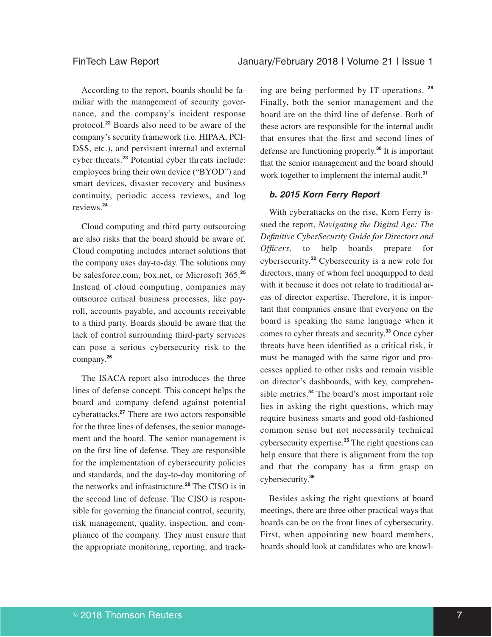According to the report, boards should be familiar with the management of security governance, and the company's incident response protocol.**<sup>22</sup>** Boards also need to be aware of the company's security framework (i.e. HIPAA, PCI-DSS, etc.), and persistent internal and external cyber threats.**<sup>23</sup>** Potential cyber threats include: employees bring their own device ("BYOD") and smart devices, disaster recovery and business continuity, periodic access reviews, and log reviews.**<sup>24</sup>**

Cloud computing and third party outsourcing are also risks that the board should be aware of. Cloud computing includes internet solutions that the company uses day-to-day. The solutions may be salesforce.com, box.net, or Microsoft 365.**<sup>25</sup>** Instead of cloud computing, companies may outsource critical business processes, like payroll, accounts payable, and accounts receivable to a third party. Boards should be aware that the lack of control surrounding third-party services can pose a serious cybersecurity risk to the company.**<sup>26</sup>**

The ISACA report also introduces the three lines of defense concept. This concept helps the board and company defend against potential cyberattacks.**<sup>27</sup>** There are two actors responsible for the three lines of defenses, the senior management and the board. The senior management is on the first line of defense. They are responsible for the implementation of cybersecurity policies and standards, and the day-to-day monitoring of the networks and infrastructure.**<sup>28</sup>** The CISO is in the second line of defense. The CISO is responsible for governing the financial control, security, risk management, quality, inspection, and compliance of the company. They must ensure that the appropriate monitoring, reporting, and track-

ing are being performed by IT operations. **<sup>29</sup>** Finally, both the senior management and the board are on the third line of defense. Both of these actors are responsible for the internal audit that ensures that the first and second lines of defense are functioning properly.**<sup>30</sup>** It is important that the senior management and the board should work together to implement the internal audit.**<sup>31</sup>**

### *b. 2015 Korn Ferry Report*

With cyberattacks on the rise, Korn Ferry issued the report, *Navigating the Digital Age: The Definitive CyberSecurity Guide for Directors and Officers,* to help boards prepare for cybersecurity.**<sup>32</sup>** Cybersecurity is a new role for directors, many of whom feel unequipped to deal with it because it does not relate to traditional areas of director expertise. Therefore, it is important that companies ensure that everyone on the board is speaking the same language when it comes to cyber threats and security.**<sup>33</sup>** Once cyber threats have been identified as a critical risk, it must be managed with the same rigor and processes applied to other risks and remain visible on director's dashboards, with key, comprehensible metrics.**<sup>34</sup>** The board's most important role lies in asking the right questions, which may require business smarts and good old-fashioned common sense but not necessarily technical cybersecurity expertise.**<sup>35</sup>** The right questions can help ensure that there is alignment from the top and that the company has a firm grasp on cybersecurity.**<sup>36</sup>**

Besides asking the right questions at board meetings, there are three other practical ways that boards can be on the front lines of cybersecurity. First, when appointing new board members, boards should look at candidates who are knowl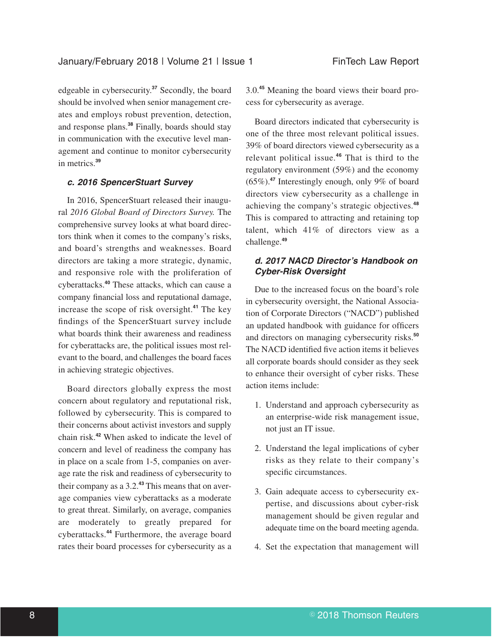edgeable in cybersecurity.**<sup>37</sup>** Secondly, the board should be involved when senior management creates and employs robust prevention, detection, and response plans.**<sup>38</sup>** Finally, boards should stay in communication with the executive level management and continue to monitor cybersecurity in metrics.**<sup>39</sup>**

### *c. 2016 SpencerStuart Survey*

In 2016, SpencerStuart released their inaugural *2016 Global Board of Directors Survey.* The comprehensive survey looks at what board directors think when it comes to the company's risks, and board's strengths and weaknesses. Board directors are taking a more strategic, dynamic, and responsive role with the proliferation of cyberattacks.**<sup>40</sup>** These attacks, which can cause a company financial loss and reputational damage, increase the scope of risk oversight.**<sup>41</sup>** The key findings of the SpencerStuart survey include what boards think their awareness and readiness for cyberattacks are, the political issues most relevant to the board, and challenges the board faces in achieving strategic objectives.

Board directors globally express the most concern about regulatory and reputational risk, followed by cybersecurity. This is compared to their concerns about activist investors and supply chain risk.**<sup>42</sup>** When asked to indicate the level of concern and level of readiness the company has in place on a scale from 1-5, companies on average rate the risk and readiness of cybersecurity to their company as a 3.2.**<sup>43</sup>** This means that on average companies view cyberattacks as a moderate to great threat. Similarly, on average, companies are moderately to greatly prepared for cyberattacks.**<sup>44</sup>** Furthermore, the average board rates their board processes for cybersecurity as a 3.0.**<sup>45</sup>** Meaning the board views their board process for cybersecurity as average.

Board directors indicated that cybersecurity is one of the three most relevant political issues. 39% of board directors viewed cybersecurity as a relevant political issue.**<sup>46</sup>** That is third to the regulatory environment (59%) and the economy (65%).**<sup>47</sup>** Interestingly enough, only 9% of board directors view cybersecurity as a challenge in achieving the company's strategic objectives.**<sup>48</sup>** This is compared to attracting and retaining top talent, which 41% of directors view as a challenge.**<sup>49</sup>**

### *d. 2017 NACD Director's Handbook on Cyber-Risk Oversight*

Due to the increased focus on the board's role in cybersecurity oversight, the National Association of Corporate Directors ("NACD") published an updated handbook with guidance for officers and directors on managing cybersecurity risks.**<sup>50</sup>** The NACD identified five action items it believes all corporate boards should consider as they seek to enhance their oversight of cyber risks. These action items include:

- 1. Understand and approach cybersecurity as an enterprise-wide risk management issue, not just an IT issue.
- 2. Understand the legal implications of cyber risks as they relate to their company's specific circumstances.
- 3. Gain adequate access to cybersecurity expertise, and discussions about cyber-risk management should be given regular and adequate time on the board meeting agenda.
- 4. Set the expectation that management will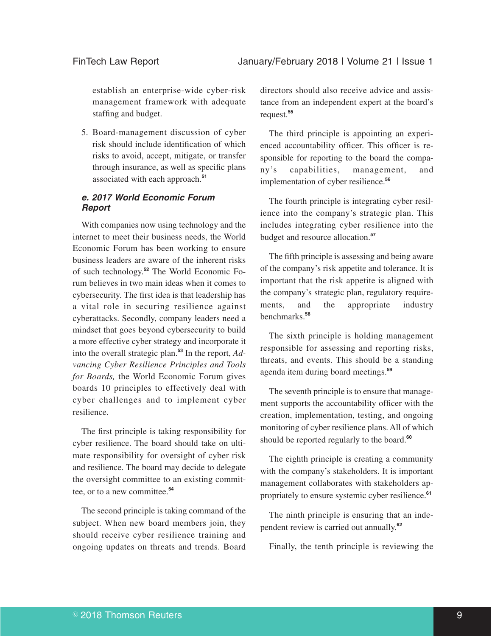establish an enterprise-wide cyber-risk management framework with adequate staffing and budget.

5. Board-management discussion of cyber risk should include identification of which risks to avoid, accept, mitigate, or transfer through insurance, as well as specific plans associated with each approach.**<sup>51</sup>**

### *e. 2017 World Economic Forum Report*

With companies now using technology and the internet to meet their business needs, the World Economic Forum has been working to ensure business leaders are aware of the inherent risks of such technology.**<sup>52</sup>** The World Economic Forum believes in two main ideas when it comes to cybersecurity. The first idea is that leadership has a vital role in securing resilience against cyberattacks. Secondly, company leaders need a mindset that goes beyond cybersecurity to build a more effective cyber strategy and incorporate it into the overall strategic plan.**<sup>53</sup>** In the report, *Advancing Cyber Resilience Principles and Tools for Boards,* the World Economic Forum gives boards 10 principles to effectively deal with cyber challenges and to implement cyber resilience.

The first principle is taking responsibility for cyber resilience. The board should take on ultimate responsibility for oversight of cyber risk and resilience. The board may decide to delegate the oversight committee to an existing committee, or to a new committee.**<sup>54</sup>**

The second principle is taking command of the subject. When new board members join, they should receive cyber resilience training and ongoing updates on threats and trends. Board

directors should also receive advice and assistance from an independent expert at the board's request.**<sup>55</sup>**

The third principle is appointing an experienced accountability officer. This officer is responsible for reporting to the board the company's capabilities, management, and implementation of cyber resilience.**<sup>56</sup>**

The fourth principle is integrating cyber resilience into the company's strategic plan. This includes integrating cyber resilience into the budget and resource allocation.**<sup>57</sup>**

The fifth principle is assessing and being aware of the company's risk appetite and tolerance. It is important that the risk appetite is aligned with the company's strategic plan, regulatory requirements, and the appropriate industry benchmarks.**<sup>58</sup>**

The sixth principle is holding management responsible for assessing and reporting risks, threats, and events. This should be a standing agenda item during board meetings.**<sup>59</sup>**

The seventh principle is to ensure that management supports the accountability officer with the creation, implementation, testing, and ongoing monitoring of cyber resilience plans. All of which should be reported regularly to the board.**<sup>60</sup>**

The eighth principle is creating a community with the company's stakeholders. It is important management collaborates with stakeholders appropriately to ensure systemic cyber resilience.**<sup>61</sup>**

The ninth principle is ensuring that an independent review is carried out annually.**<sup>62</sup>**

Finally, the tenth principle is reviewing the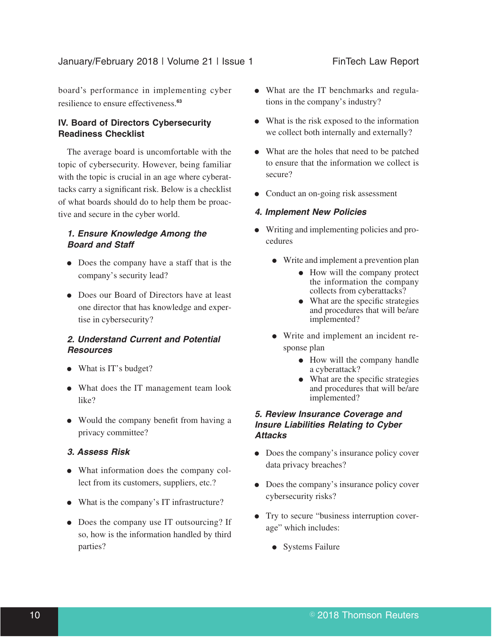board's performance in implementing cyber resilience to ensure effectiveness.**<sup>63</sup>**

### **IV. Board of Directors Cybersecurity Readiness Checklist**

The average board is uncomfortable with the topic of cybersecurity. However, being familiar with the topic is crucial in an age where cyberattacks carry a significant risk. Below is a checklist of what boards should do to help them be proactive and secure in the cyber world.

### *1. Ensure Knowledge Among the Board and Staff*

- Does the company have a staff that is the company's security lead?
- Does our Board of Directors have at least one director that has knowledge and expertise in cybersecurity?

### *2. Understand Current and Potential Resources*

- What is IT's budget?
- What does the IT management team look like?
- Would the company benefit from having a privacy committee?

### *3. Assess Risk*

- What information does the company collect from its customers, suppliers, etc.?
- What is the company's IT infrastructure?
- Does the company use IT outsourcing? If so, how is the information handled by third parties?
- What are the IT benchmarks and regulations in the company's industry?
- $\bullet$  What is the risk exposed to the information we collect both internally and externally?
- What are the holes that need to be patched to ensure that the information we collect is secure?
- Conduct an on-going risk assessment

### *4. Implement New Policies*

- E Writing and implementing policies and procedures
	- Write and implement a prevention plan
		- $\bullet$  How will the company protect the information the company collects from cyberattacks?
		- What are the specific strategies and procedures that will be/are implemented?
	- Write and implement an incident response plan
		- How will the company handle a cyberattack?
		- What are the specific strategies and procedures that will be/are implemented?

### *5. Review Insurance Coverage and Insure Liabilities Relating to Cyber Attacks*

- Does the company's insurance policy cover data privacy breaches?
- Does the company's insurance policy cover cybersecurity risks?
- Try to secure "business interruption coverage" which includes:
	- Systems Failure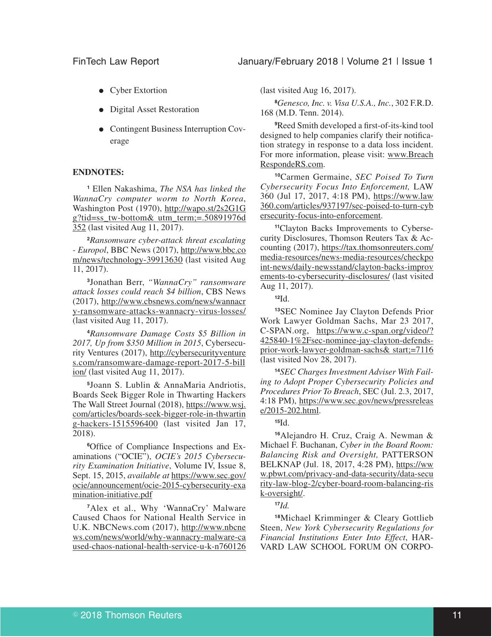- Cyber Extortion
- Digital Asset Restoration
- Contingent Business Interruption Coverage

#### **ENDNOTES:**

**<sup>1</sup>** Ellen Nakashima, *The NSA has linked the WannaCry computer worm to North Korea*, Washington Post (1970), http://wapo.st/2s2G1G g?tid=ss\_tw-bottom& utm\_term;=.50891976d 352 (last visited Aug 11, 2017).

**<sup>2</sup>***Ransomware cyber-attack threat escalating - Europol*, BBC News (2017), http://www.bbc.co m/news/technology-39913630 (last visited Aug 11, 2017).

**3** Jonathan Berr, *"WannaCry" ransomware attack losses could reach \$4 billion*, CBS News (2017), http://www.cbsnews.com/news/wannacr y-ransomware-attacks-wannacry-virus-losses/ (last visited Aug 11, 2017).

**<sup>4</sup>***Ransomware Damage Costs \$5 Billion in 2017, Up from \$350 Million in 2015*, Cybersecurity Ventures (2017), http://cybersecurityventure s.com/ransomware-damage-report-2017-5-bill ion/ (last visited Aug 11, 2017).

**5** Joann S. Lublin & AnnaMaria Andriotis, Boards Seek Bigger Role in Thwarting Hackers The Wall Street Journal (2018), https://www.wsj. com/articles/boards-seek-bigger-role-in-thwartin g-hackers-1515596400 (last visited Jan 17, 2018).

**6**Office of Compliance Inspections and Examinations ("OCIE"), *OCIE's 2015 Cybersecurity Examination Initiative*, Volume IV, Issue 8, Sept. 15, 2015, *available at* https://www.sec.gov/ ocie/announcement/ocie-2015-cybersecurity-exa mination-initiative.pdf

**<sup>7</sup>**Alex et al., Why 'WannaCry' Malware Caused Chaos for National Health Service in U.K. NBCNews.com (2017), http://www.nbcne ws.com/news/world/why-wannacry-malware-ca used-chaos-national-health-service-u-k-n760126 (last visited Aug 16, 2017).

**<sup>8</sup>***Genesco, Inc. v. Visa U.S.A., Inc.*, 302 F.R.D. 168 (M.D. Tenn. 2014).

**<sup>9</sup>**Reed Smith developed a first-of-its-kind tool designed to help companies clarify their notification strategy in response to a data loss incident. For more information, please visit: www.Breach RespondeRS.com.

**<sup>10</sup>**Carmen Germaine, *SEC Poised To Turn Cybersecurity Focus Into Enforcement,* LAW 360 (Jul 17, 2017, 4:18 PM), https://www.law 360.com/articles/937197/sec-poised-to-turn-cyb ersecurity-focus-into-enforcement.

**11**Clayton Backs Improvements to Cybersecurity Disclosures, Thomson Reuters Tax & Accounting (2017), https://tax.thomsonreuters.com/ media-resources/news-media-resources/checkpo int-news/daily-newsstand/clayton-backs-improv ements-to-cybersecurity-disclosures/ (last visited Aug 11, 2017).

**<sup>12</sup>**Id.

**<sup>13</sup>**SEC Nominee Jay Clayton Defends Prior Work Lawyer Goldman Sachs, Mar 23 2017, C-SPAN.org, https://www.c-span.org/video/? 425840-1%2Fsec-nominee-jay-clayton-defendsprior-work-lawyer-goldman-sachs& start;=7116 (last visited Nov 28, 2017).

**14***SEC Charges Investment Adviser With Failing to Adopt Proper Cybersecurity Policies and Procedures Prior To Breach*, SEC (Jul. 2.3, 2017, 4:18 PM), https://www.sec.gov/news/pressreleas e/2015-202.html.

#### **<sup>15</sup>**Id.

**<sup>16</sup>**Alejandro H. Cruz, Craig A. Newman & Michael F. Buchanan, *Cyber in the Board Room: Balancing Risk and Oversight,* PATTERSON BELKNAP (Jul. 18, 2017, 4:28 PM), https://ww w.pbwt.com/privacy-and-data-security/data-secu rity-law-blog-2/cyber-board-room-balancing-ris k-oversight/.

**<sup>17</sup>***Id.*

**<sup>18</sup>**Michael Krimminger & Cleary Gottlieb Steen, *New York Cybersecurity Regulations for Financial Institutions Enter Into Effect*, HAR-VARD LAW SCHOOL FORUM ON CORPO-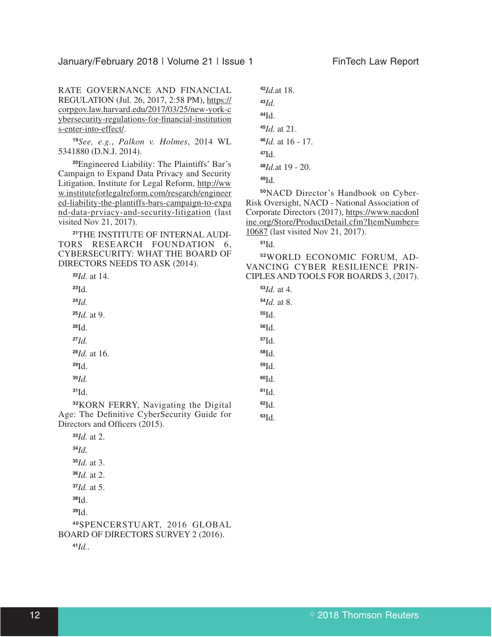RATE GOVERNANCE AND FINANCIAL REGULATION (Jul. 26, 2017, 2:58 PM), https:// corpgov.law.harvard.edu/2017/03/25/new-york-c ybersecurity-regulations-for-financial-institution s-enter-into-effect/.

*See, e.g.*, *Palkon v. Holmes*, 2014 WL 5341880 (D.N.J. 2014).

Engineered Liability: The Plaintiffs' Bar's Campaign to Expand Data Privacy and Security Litigation, Institute for Legal Reform, http://ww w.instituteforlegalreform.com/research/engineer ed-liability-the-plantiffs-bars-campaign-to-expa nd-data-prviacy-and-security-litigation (last visited Nov 21, 2017).

THE INSTITUTE OF INTERNAL AUDI-TORS RESEARCH FOUNDATION 6, CYBERSECURITY: WHAT THE BOARD OF DIRECTORS NEEDS TO ASK (2014).

| $22Id.$ at 14.                                   | `IPL: |
|--------------------------------------------------|-------|
| $^{23}$ Id.                                      | 53    |
| $24$ Id.                                         | 54    |
| $25$ <i>Id.</i> at 9.                            | 55    |
| $^{26}$ Id.                                      | 56    |
| $^{27}Id.$                                       | 57    |
| $^{28}$ <i>Id.</i> at 16.                        | 58    |
| $^{29}$ Id.                                      | 59    |
| $30$ Id.                                         | 60    |
| 31d.                                             | 61    |
| <sup>32</sup> KORN FERRY, Navigating the Digital | 62    |
| ge: The Definitive CyberSecurity Guide for       | 63    |

Age: The Definitive CyberSecurity Guide for Directors and Officers (2015).

*Id. Id.* at 3. *Id.* at 2. *Id.* at 5. Id. Id. SPENCERSTUART, 2016 GLOBAL BOARD OF DIRECTORS SURVEY 2 (2016).

*Id.*.

*Id.* at 2.

*Id.*at 18. *Id.* Id. *Id.* at 21. *Id.* at 16 - 17. Id. *Id.*at 19 - 20. Id.

NACD Director's Handbook on Cyber-Risk Oversight, NACD - National Association of Corporate Directors (2017), https://www.nacdonl ine.org/Store/ProductDetail.cfm?ItemNumber= 10687 (last visited Nov 21, 2017).

Id.

WORLD ECONOMIC FORUM, AD-VANCING CYBER RESILIENCE PRIN-ES AND TOOLS FOR BOARDS 3, (2017).

*Id.* at 4. *Id.* at 8. Id.

Id.

Id.

Id.

Id.

Id.

Id.

Id. Id.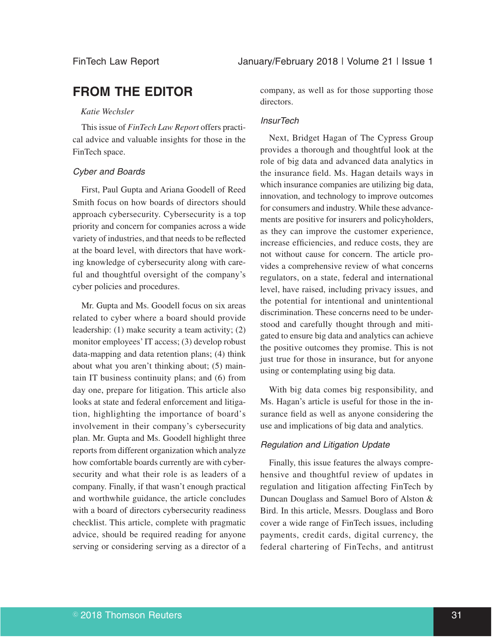# **FROM THE EDITOR**

#### *Katie Wechsler*

This issue of *FinTech Law Report* offers practical advice and valuable insights for those in the FinTech space.

#### Cyber and Boards

First, Paul Gupta and Ariana Goodell of Reed Smith focus on how boards of directors should approach cybersecurity. Cybersecurity is a top priority and concern for companies across a wide variety of industries, and that needs to be reflected at the board level, with directors that have working knowledge of cybersecurity along with careful and thoughtful oversight of the company's cyber policies and procedures.

Mr. Gupta and Ms. Goodell focus on six areas related to cyber where a board should provide leadership: (1) make security a team activity; (2) monitor employees' IT access; (3) develop robust data-mapping and data retention plans; (4) think about what you aren't thinking about; (5) maintain IT business continuity plans; and (6) from day one, prepare for litigation. This article also looks at state and federal enforcement and litigation, highlighting the importance of board's involvement in their company's cybersecurity plan. Mr. Gupta and Ms. Goodell highlight three reports from different organization which analyze how comfortable boards currently are with cybersecurity and what their role is as leaders of a company. Finally, if that wasn't enough practical and worthwhile guidance, the article concludes with a board of directors cybersecurity readiness checklist. This article, complete with pragmatic advice, should be required reading for anyone serving or considering serving as a director of a

company, as well as for those supporting those directors.

### **InsurTech**

Next, Bridget Hagan of The Cypress Group provides a thorough and thoughtful look at the role of big data and advanced data analytics in the insurance field. Ms. Hagan details ways in which insurance companies are utilizing big data, innovation, and technology to improve outcomes for consumers and industry. While these advancements are positive for insurers and policyholders, as they can improve the customer experience, increase efficiencies, and reduce costs, they are not without cause for concern. The article provides a comprehensive review of what concerns regulators, on a state, federal and international level, have raised, including privacy issues, and the potential for intentional and unintentional discrimination. These concerns need to be understood and carefully thought through and mitigated to ensure big data and analytics can achieve the positive outcomes they promise. This is not just true for those in insurance, but for anyone using or contemplating using big data.

With big data comes big responsibility, and Ms. Hagan's article is useful for those in the insurance field as well as anyone considering the use and implications of big data and analytics.

### Regulation and Litigation Update

Finally, this issue features the always comprehensive and thoughtful review of updates in regulation and litigation affecting FinTech by Duncan Douglass and Samuel Boro of Alston & Bird. In this article, Messrs. Douglass and Boro cover a wide range of FinTech issues, including payments, credit cards, digital currency, the federal chartering of FinTechs, and antitrust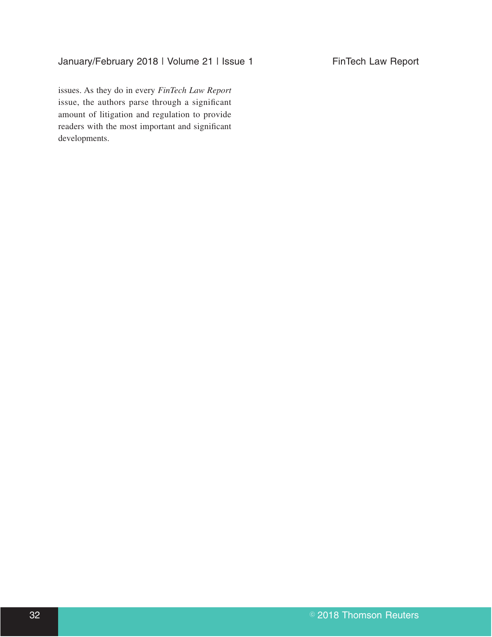## January/February 2018 | Volume 21 | Issue 1 FinTech Law Report

issues. As they do in every *FinTech Law Report* issue, the authors parse through a significant amount of litigation and regulation to provide readers with the most important and significant developments.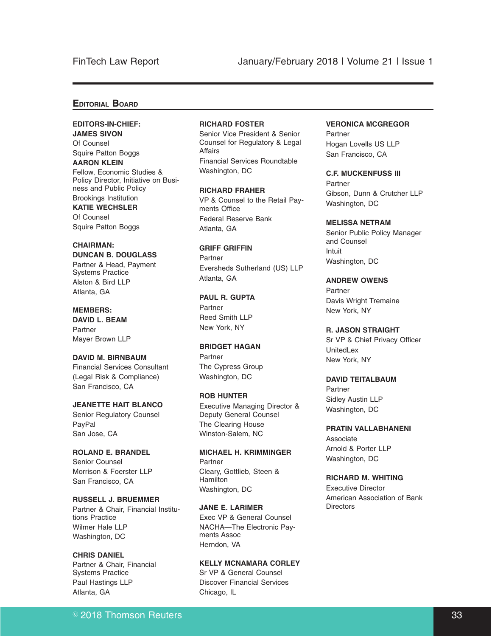### FinTech Law Report January/February 2018 | Volume 21 | Issue 1

#### **EDITORIAL BOARD**

#### **EDITORS-IN-CHIEF: JAMES SIVON**

Of Counsel Squire Patton Boggs

**AARON KLEIN** Fellow, Economic Studies & Policy Director, Initiative on Business and Public Policy Brookings Institution

### **KATIE WECHSLER**

Of Counsel Squire Patton Boggs

#### **CHAIRMAN: DUNCAN B. DOUGLASS**

Partner & Head, Payment Systems Practice Alston & Bird LLP Atlanta, GA

### **MEMBERS: DAVID L. BEAM Partner**

Mayer Brown LLP **DAVID M. BIRNBAUM** Financial Services Consultant

(Legal Risk & Compliance) San Francisco, CA

#### **JEANETTE HAIT BLANCO** Senior Regulatory Counsel PayPal San Jose, CA

**ROLAND E. BRANDEL** Senior Counsel Morrison & Foerster LLP San Francisco, CA

**RUSSELL J. BRUEMMER** Partner & Chair, Financial Institutions Practice Wilmer Hale LLP Washington, DC

#### **CHRIS DANIEL** Partner & Chair, Financial Systems Practice Paul Hastings LLP Atlanta, GA

#### **RICHARD FOSTER**

Senior Vice President & Senior Counsel for Regulatory & Legal Affairs Financial Services Roundtable Washington, DC

**RICHARD FRAHER** VP & Counsel to the Retail Payments Office Federal Reserve Bank Atlanta, GA

**GRIFF GRIFFIN** Partner Eversheds Sutherland (US) LLP Atlanta, GA

**PAUL R. GUPTA** Partner Reed Smith LLP New York, NY

#### **BRIDGET HAGAN** Partner The Cypress Group Washington, DC

**ROB HUNTER** Executive Managing Director & Deputy General Counsel The Clearing House Winston-Salem, NC

**MICHAEL H. KRIMMINGER** Partner Cleary, Gottlieb, Steen & Hamilton Washington, DC

**JANE E. LARIMER** Exec VP & General Counsel NACHA—The Electronic Payments Assoc Herndon, VA

### **KELLY MCNAMARA CORLEY**

Sr VP & General Counsel Discover Financial Services Chicago, IL

### **VERONICA MCGREGOR**

Partner Hogan Lovells US LLP San Francisco, CA

**C.F. MUCKENFUSS III** Partner Gibson, Dunn & Crutcher LLP Washington, DC

**MELISSA NETRAM** Senior Public Policy Manager and Counsel Intuit Washington, DC

**ANDREW OWENS** Partner Davis Wright Tremaine New York, NY

**R. JASON STRAIGHT** Sr VP & Chief Privacy Officer UnitedLex New York, NY

### **DAVID TEITALBAUM**

Partner Sidley Austin LLP Washington, DC

**PRATIN VALLABHANENI** Associate Arnold & Porter LLP Washington, DC

**RICHARD M. WHITING** Executive Director American Association of Bank **Directors**